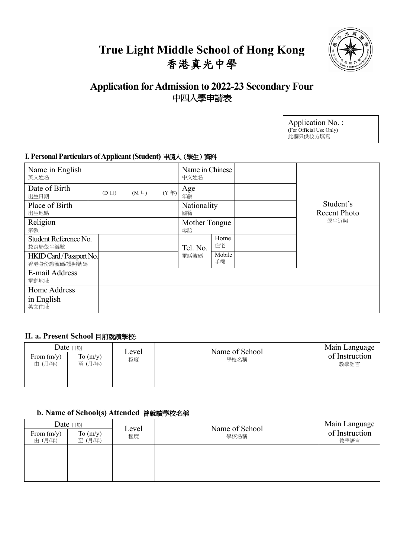# **True Light Middle School of Hong Kong** 香港真光中學



## **Application for Admission to 2022-23 Secondary Four** 中四入學申請表

| Application No.:        |  |
|-------------------------|--|
| (For Official Use Only) |  |
| 此欄只供校方填寫                |  |

### **I. Personal Particulars of Applicant (Student)** 申請人(學生)資料

| Name in English<br>英文姓名                  |            |                |              | Name in Chinese<br>中文姓名 |              |                           |
|------------------------------------------|------------|----------------|--------------|-------------------------|--------------|---------------------------|
| Date of Birth<br>出生日期                    | $(D \Box)$ | $(M \nexists)$ | $(Y \ncong)$ | Age<br>年齡               |              |                           |
| Place of Birth<br>出生地點                   |            |                |              | Nationality<br>國籍       |              | Student's<br>Recent Photo |
| Religion<br>宗教                           |            |                |              | Mother Tongue<br>母語     |              | 學生近照                      |
| Student Reference No.<br>教育局學生編號         |            |                |              | Tel. No.                | Home<br>住宅   |                           |
| HKID Card / Passport No.<br>香港身份證號碼/護照號碼 |            |                |              | 電話號碼                    | Mobile<br>手機 |                           |
| E-mail Address<br>電郵地址                   |            |                |              |                         |              |                           |
| Home Address<br>in English<br>英文住址       |            |                |              |                         |              |                           |

#### **II. a. Present School** 目前就讀學校:

| From $(m/y)$<br>由 (月/年) | Date $\boxplus$ 期<br>To $(m/y)$<br>至(月/年) | Level<br>程度 | Name of School<br>學校名稱 | Main Language<br>of Instruction<br>教學語言 |
|-------------------------|-------------------------------------------|-------------|------------------------|-----------------------------------------|
|                         |                                           |             |                        |                                         |

### **b. Name of School(s) Attended** 曾就讀學校名稱

|                        | Date $\boxplus$      | Name of School<br>Level |      | Main Language          |
|------------------------|----------------------|-------------------------|------|------------------------|
| From $(m/y)$<br>由(月/年) | To $(m/y)$<br>至(月/年) | 程度                      | 學校名稱 | of Instruction<br>教學語言 |
|                        |                      |                         |      |                        |
|                        |                      |                         |      |                        |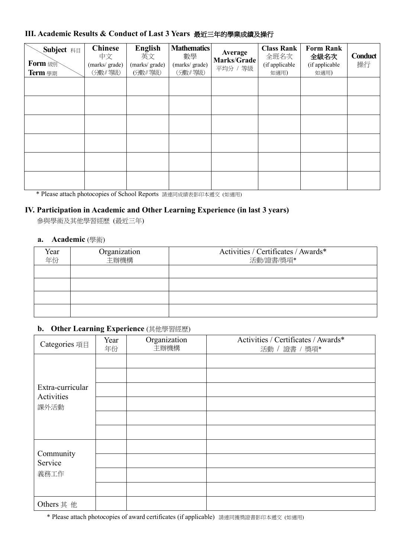## **III. Academic Results & Conduct of Last 3 Years** 最近三年的學業成績及操行

| <b>Subject</b> 科目<br><b>Form</b> 級<br>Term 學期 | <b>Chinese</b><br>中文<br>(marks/grade)<br>(分数/等级) | <b>English</b><br>英文<br>(marks/grade)<br>(分數/等級) | <b>Mathematics</b><br>數學<br>(marks/grade)<br>(分數/等級) | Average<br><b>Marks/Grade</b><br>平均分 / 等級 | <b>Class Rank</b><br>全班名次<br>(if applicable<br>如適用) | <b>Form Rank</b><br>全級名次<br>(if applicable<br>如適用) | Conduct<br>操行 |
|-----------------------------------------------|--------------------------------------------------|--------------------------------------------------|------------------------------------------------------|-------------------------------------------|-----------------------------------------------------|----------------------------------------------------|---------------|
|                                               |                                                  |                                                  |                                                      |                                           |                                                     |                                                    |               |
|                                               |                                                  |                                                  |                                                      |                                           |                                                     |                                                    |               |
|                                               |                                                  |                                                  |                                                      |                                           |                                                     |                                                    |               |
|                                               |                                                  |                                                  |                                                      |                                           |                                                     |                                                    |               |
|                                               |                                                  |                                                  |                                                      |                                           |                                                     |                                                    |               |
|                                               |                                                  |                                                  |                                                      |                                           |                                                     |                                                    |               |

\* Please attach photocopies of School Reports 請連同成績表影印本遞交 (如適用)

### **IV. Participation in Academic and Other Learning Experience (in last 3 years)**

參與學術及其他學習經歷 (最近三年)

#### **a. Academic** (學術)

| Year<br>年份 | Organization<br>主辦機構 | Activities / Certificates / Awards*<br>活動/證書/獎項* |
|------------|----------------------|--------------------------------------------------|
|            |                      |                                                  |
|            |                      |                                                  |
|            |                      |                                                  |
|            |                      |                                                  |

#### **b. Other Learning Experience** (其他學習經歷)

| Categories 項目                  | Year<br>年份 | Organization<br>主辦機構 | Activities / Certificates / Awards*<br>活動 / 證書 / 獎項* |
|--------------------------------|------------|----------------------|------------------------------------------------------|
|                                |            |                      |                                                      |
| Extra-curricular<br>Activities |            |                      |                                                      |
| 課外活動                           |            |                      |                                                      |
|                                |            |                      |                                                      |
| Community                      |            |                      |                                                      |
| Service                        |            |                      |                                                      |
| 義務工作                           |            |                      |                                                      |
|                                |            |                      |                                                      |
| Others 其 他                     |            |                      |                                                      |

\* Please attach photocopies of award certificates (if applicable) 請連同獲獎證書影印本遞交 (如適用)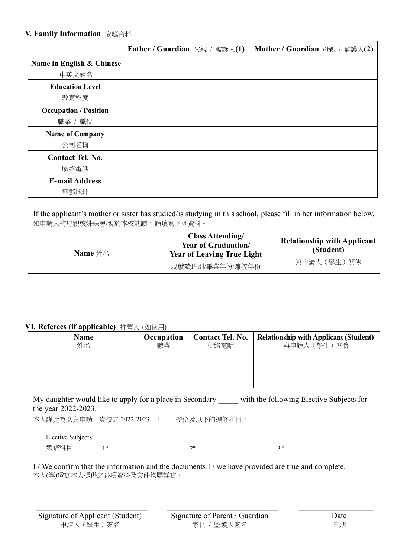#### **V. Family Information** 家庭資料

|                                         | Father / Guardian 父親 / 監護人(1) | Mother / Guardian 母親 / 監護人(2) |
|-----------------------------------------|-------------------------------|-------------------------------|
| Name in English & Chinese<br>中英文姓名      |                               |                               |
| <b>Education Level</b><br>教育程度          |                               |                               |
| <b>Occupation / Position</b><br>職業 / 職位 |                               |                               |
| <b>Name of Company</b><br>公司名稱          |                               |                               |
| <b>Contact Tel. No.</b><br>聯絡電話         |                               |                               |
| <b>E-mail Address</b><br>電郵地址           |                               |                               |

If the applicant's mother or sister has studied/is studying in this school, please fill in her information below. 如申請人的母親或姊妹曾/現於本校就讀,請填寫下列資料。

| Name $\#$ $\&$ | <b>Class Attending/</b><br>Year of Graduation/<br><b>Year of Leaving True Light</b><br>現就讀班別/畢業年份/離校年份 | <b>Relationship with Applicant</b><br>(Student)<br>與申請人 (學生)關係 |
|----------------|--------------------------------------------------------------------------------------------------------|----------------------------------------------------------------|
|                |                                                                                                        |                                                                |
|                |                                                                                                        |                                                                |

#### **VI. Referees (if applicable)** 推薦人 (如適用)

| <b>Name</b><br>姓名 | Occupation<br>職業 | <b>Contact Tel. No.</b><br>聯絡電話 | <b>Relationship with Applicant (Student)</b><br>與申請人 (學生)關係 |
|-------------------|------------------|---------------------------------|-------------------------------------------------------------|
|                   |                  |                                 |                                                             |
|                   |                  |                                 |                                                             |

My daughter would like to apply for a place in Secondary \_\_\_\_\_ with the following Elective Subjects for the year 2022-2023.

本人謹此為女兒申請 貴校之 2022-2023 中\_\_\_\_\_學位及以下的選修科目。

Elective Subjects: 選修科目  $1^{\text{st}}$   $1^{\text{st}}$   $2^{\text{nd}}$   $2^{\text{nd}}$   $3^{\text{rd}}$   $3^{\text{rd}}$ 

I / We confirm that the information and the documents I / we have provided are true and complete. 本人(等)證實本人提供之各項資料及文件均屬詳實。

 $\mathcal{L}_\mathcal{L} = \{ \mathcal{L}_\mathcal{L} = \{ \mathcal{L}_\mathcal{L} = \{ \mathcal{L}_\mathcal{L} = \{ \mathcal{L}_\mathcal{L} = \{ \mathcal{L}_\mathcal{L} = \{ \mathcal{L}_\mathcal{L} = \{ \mathcal{L}_\mathcal{L} = \{ \mathcal{L}_\mathcal{L} = \{ \mathcal{L}_\mathcal{L} = \{ \mathcal{L}_\mathcal{L} = \{ \mathcal{L}_\mathcal{L} = \{ \mathcal{L}_\mathcal{L} = \{ \mathcal{L}_\mathcal{L} = \{ \mathcal{L}_\mathcal{$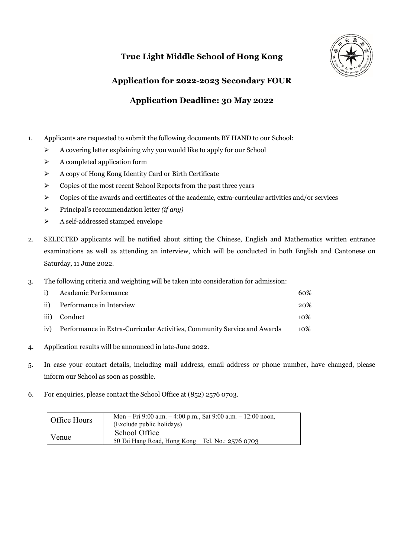## **True Light Middle School of Hong Kong**



# **Application for 2022-2023 Secondary FOUR Application Deadline: 30 May 2022**

- 1. Applicants are requested to submit the following documents BY HAND to our School:
	- $\triangleright$  A covering letter explaining why you would like to apply for our School
	- $\triangleright$  A completed application form
	- $\triangleright$  A copy of Hong Kong Identity Card or Birth Certificate
	- $\triangleright$  Copies of the most recent School Reports from the past three years
	- $\triangleright$  Copies of the awards and certificates of the academic, extra-curricular activities and/or services
	- Ø Principal's recommendation letter *(if any)*
	- Ø A self-addressed stamped envelope
- 2. SELECTED applicants will be notified about sitting the Chinese, English and Mathematics written entrance examinations as well as attending an interview, which will be conducted in both English and Cantonese on Saturday, 11 June 2022.
- 3. The following criteria and weighting will be taken into consideration for admission:

| $\mathbf{i}$ | Academic Performance                                                     | 60%    |
|--------------|--------------------------------------------------------------------------|--------|
| ii)          | Performance in Interview                                                 | 20%    |
| iii)         | Conduct                                                                  | $10\%$ |
| iv)          | Performance in Extra-Curricular Activities, Community Service and Awards | 10%    |

- 4. Application results will be announced in late-June 2022.
- 5. In case your contact details, including mail address, email address or phone number, have changed, please inform our School as soon as possible.
- 6. For enquiries, please contact the School Office at (852) 2576 0703.

| Office Hours | Mon – Fri 9:00 a.m. – 4:00 p.m., Sat 9:00 a.m. – 12:00 noon,<br>(Exclude public holidays) |
|--------------|-------------------------------------------------------------------------------------------|
| Venue        | School Office<br>50 Tai Hang Road, Hong Kong Tel. No.: 2576 0703                          |